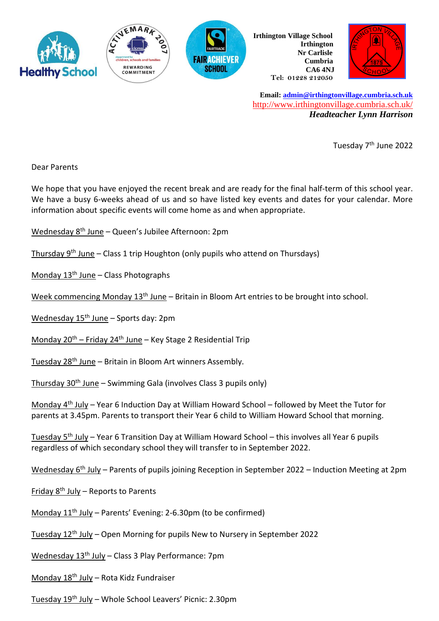





 **Irthington Village School Irthington Nr Carlisle RAUHIEVER CUMBRIA CUMBRIA**<br> **CA64NI SCHOOL CA6 4NJ** CA6 4NJ  **Tel: 01228 212050**



**Email[: admin@irthingtonvillage.cumbria.sch.uk](mailto:admin@irthingtonvillage.cumbria.sch.uk)** <http://www.irthingtonvillage.cumbria.sch.uk/> *Headteacher Lynn Harrison*

Tuesday 7th June 2022

Dear Parents

We hope that you have enjoyed the recent break and are ready for the final half-term of this school year. We have a busy 6-weeks ahead of us and so have listed key events and dates for your calendar. More information about specific events will come home as and when appropriate.

Wednesday 8th June – Queen's Jubilee Afternoon: 2pm

Thursday  $9<sup>th</sup>$  June – Class 1 trip Houghton (only pupils who attend on Thursdays)

Monday 13<sup>th</sup> June - Class Photographs

Week commencing Monday 13<sup>th</sup> June – Britain in Bloom Art entries to be brought into school.

Wednesday  $15<sup>th</sup>$  June – Sports day: 2pm

Monday  $20^{th}$  – Friday  $24^{th}$  June – Key Stage 2 Residential Trip

Tuesday 28th June – Britain in Bloom Art winners Assembly.

Thursday  $30<sup>th</sup>$  June – Swimming Gala (involves Class 3 pupils only)

Monday 4th July – Year 6 Induction Day at William Howard School – followed by Meet the Tutor for parents at 3.45pm. Parents to transport their Year 6 child to William Howard School that morning.

Tuesday 5th July – Year 6 Transition Day at William Howard School – this involves all Year 6 pupils regardless of which secondary school they will transfer to in September 2022.

Wednesday  $6<sup>th</sup>$  July – Parents of pupils joining Reception in September 2022 – Induction Meeting at 2pm

Friday  $8<sup>th</sup>$  July – Reports to Parents

Monday  $11<sup>th</sup>$  July – Parents' Evening: 2-6.30pm (to be confirmed)

Tuesday 12th July – Open Morning for pupils New to Nursery in September 2022

Wednesday  $13<sup>th</sup>$  July – Class 3 Play Performance: 7pm

Monday 18th July – Rota Kidz Fundraiser

Tuesday 19<sup>th</sup> July – Whole School Leavers' Picnic: 2.30pm